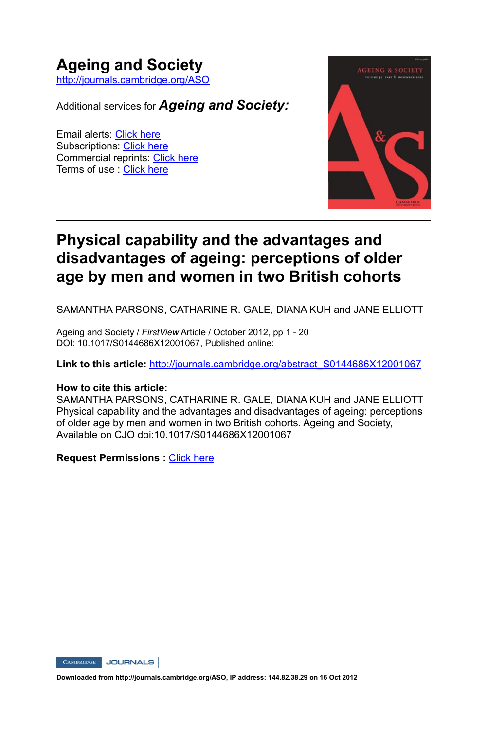# **Ageing and Society**

http://journals.cambridge.org/ASO

Additional services for *Ageing and Society:*

Email alerts: Click here Subscriptions: Click here Commercial reprints: Click here Terms of use : Click here



# **Physical capability and the advantages and disadvantages of ageing: perceptions of older age by men and women in two British cohorts**

SAMANTHA PARSONS, CATHARINE R. GALE, DIANA KUH and JANE ELLIOTT

Ageing and Society / FirstView Article / October 2012, pp 1 - 20 DOI: 10.1017/S0144686X12001067, Published online:

**Link to this article:** http://journals.cambridge.org/abstract\_S0144686X12001067

#### **How to cite this article:**

SAMANTHA PARSONS, CATHARINE R. GALE, DIANA KUH and JANE ELLIOTT Physical capability and the advantages and disadvantages of ageing: perceptions of older age by men and women in two British cohorts. Ageing and Society, Available on CJO doi:10.1017/S0144686X12001067

**Request Permissions :** Click here

CAMBRIDGE JOURNALS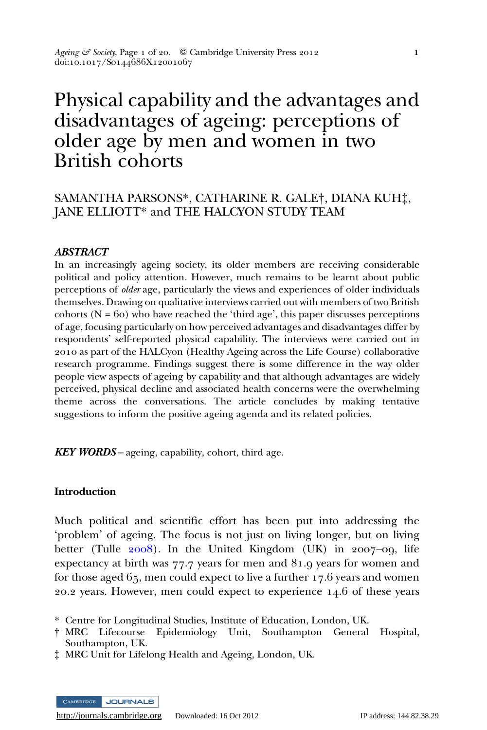#### Ageing & Society, Page 1 of 20. © Cambridge University Press 2012 doi:10.1017/S0144686X12001067

# Physical capability and the advantages and disadvantages of ageing: perceptions of older age by men and women in two British cohorts

## SAMANTHA PARSONS\*, CATHARINE R. GALE†, DIANA KUH‡, JANE ELLIOTT\* and THE HALCYON STUDY TEAM

#### ABSTRACT

In an increasingly ageing society, its older members are receiving considerable political and policy attention. However, much remains to be learnt about public perceptions of older age, particularly the views and experiences of older individuals themselves. Drawing on qualitative interviews carried out with members of two British cohorts ( $N = 6$ o) who have reached the 'third age', this paper discusses perceptions of age, focusing particularly on how perceived advantages and disadvantages differ by respondents' self-reported physical capability. The interviews were carried out in as part of the HALCyon (Healthy Ageing across the Life Course) collaborative research programme. Findings suggest there is some difference in the way older people view aspects of ageing by capability and that although advantages are widely perceived, physical decline and associated health concerns were the overwhelming theme across the conversations. The article concludes by making tentative suggestions to inform the positive ageing agenda and its related policies.

KEY WORDS *–* ageing, capability, cohort, third age.

#### Introduction

Much political and scientific effort has been put into addressing the 'problem' of ageing. The focus is not just on living longer, but on living better (Tulle  $2008$ ). In the United Kingdom (UK) in  $2007-09$ , life expectancy at birth was  $77.7$  years for men and  $81.9$  years for women and for those aged  $65$ , men could expect to live a further 17.6 years and women 20.2 years. However, men could expect to experience  $14.6$  of these years

- † MRC Lifecourse Epidemiology Unit, Southampton General Hospital, Southampton, UK.
- ‡ MRC Unit for Lifelong Health and Ageing, London, UK.

<sup>\*</sup> Centre for Longitudinal Studies, Institute of Education, London, UK.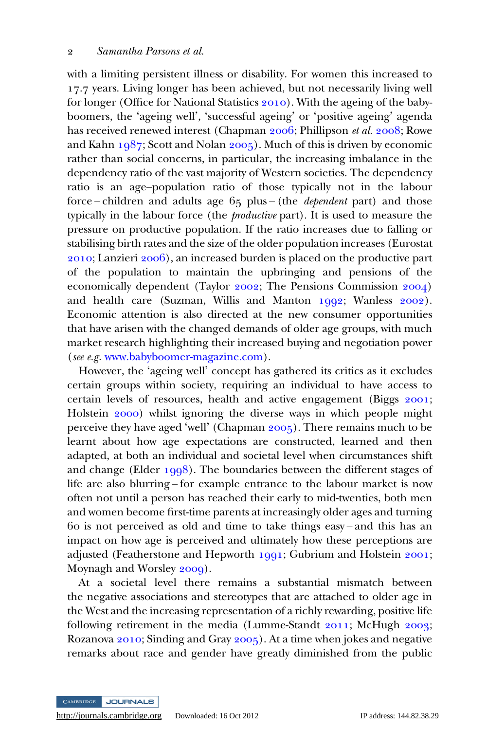with a limiting persistent illness or disability. For women this increased to 17.7 years. Living longer has been achieved, but not necessarily living well for longer (Office for National Statistics  $2010$ ). With the ageing of the babyboomers, the 'ageing well', 'successful ageing' or 'positive ageing' agenda has received renewed interest (Chapman  $2006$ ; Phillipson *et al.*  $2008$ ; Rowe and Kahn  $1987$ ; Scott and Nolan  $2005$ ). Much of this is driven by economic rather than social concerns, in particular, the increasing imbalance in the dependency ratio of the vast majority of Western societies. The dependency ratio is an age–population ratio of those typically not in the labour force – children and adults age  $65$  plus – (the *dependent* part) and those typically in the labour force (the productive part). It is used to measure the pressure on productive population. If the ratio increases due to falling or stabilising birth rates and the size of the older population increases (Eurostat  $2010$ ; Lanzieri  $2006$ ), an increased burden is placed on the productive part of the population to maintain the upbringing and pensions of the economically dependent (Taylor  $2002$ ; The Pensions Commission  $2004$ ) and health care (Suzman, Willis and Manton  $1992$ ; Wanless  $2002$ ). Economic attention is also directed at the new consumer opportunities that have arisen with the changed demands of older age groups, with much market research highlighting their increased buying and negotiation power (see e.g. [www.babyboomer-magazine.com\)](http://www.babyboomer-magazine.com).

However, the 'ageing well' concept has gathered its critics as it excludes certain groups within society, requiring an individual to have access to certain levels of resources, health and active engagement (Biggs  $2001$ ; Holstein 2000) whilst ignoring the diverse ways in which people might perceive they have aged 'well' (Chapman 2005). There remains much to be learnt about how age expectations are constructed, learned and then adapted, at both an individual and societal level when circumstances shift and change (Elder  $1998$ ). The boundaries between the different stages of life are also blurring – for example entrance to the labour market is now often not until a person has reached their early to mid-twenties, both men and women become first-time parents at increasingly older ages and turning is not perceived as old and time to take things easy – and this has an impact on how age is perceived and ultimately how these perceptions are adjusted (Featherstone and Hepworth  $1991$ ; Gubrium and Holstein 2001; Moynagh and Worsley 2009).

At a societal level there remains a substantial mismatch between the negative associations and stereotypes that are attached to older age in the West and the increasing representation of a richly rewarding, positive life following retirement in the media (Lumme-Standt  $2011$ ; McHugh  $2003$ ; Rozanova 2010; Sinding and Gray 2005). At a time when jokes and negative remarks about race and gender have greatly diminished from the public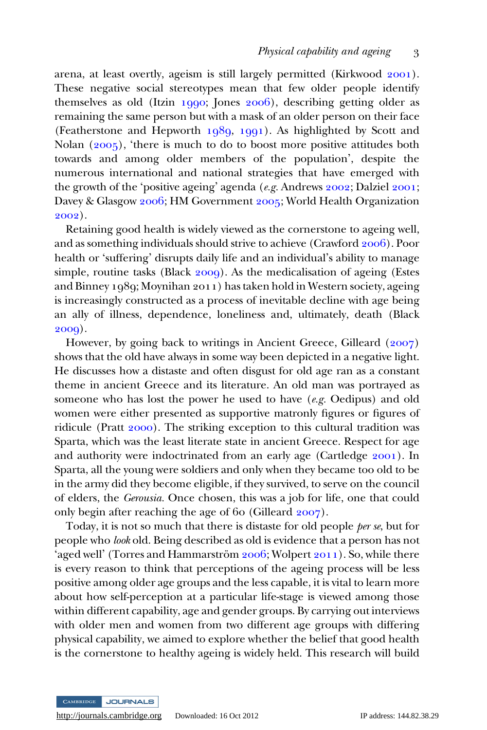arena, at least overtly, ageism is still largely permitted (Kirkwood 2001). These negative social stereotypes mean that few older people identify themselves as old (Itzin  $1990$ ; Jones  $2006$ ), describing getting older as remaining the same person but with a mask of an older person on their face (Featherstone and Hepworth  $1080$ ,  $1001$ ). As highlighted by Scott and Nolan  $(2005)$ , 'there is much to do to boost more positive attitudes both towards and among older members of the population', despite the numerous international and national strategies that have emerged with the growth of the 'positive ageing' agenda (e.g. Andrews  $2002$ ; Dalziel  $2001$ ; Davey & Glasgow 2006; HM Government 2005; World Health Organization 2002).

Retaining good health is widely viewed as the cornerstone to ageing well, and as something individuals should strive to achieve (Crawford 2006). Poor health or 'suffering' disrupts daily life and an individual's ability to manage simple, routine tasks (Black  $2009$ ). As the medicalisation of ageing (Estes and Binney 1989; Moynihan 2011) has taken hold in Western society, ageing is increasingly constructed as a process of inevitable decline with age being an ally of illness, dependence, loneliness and, ultimately, death (Black 200<sub>0</sub>).

However, by going back to writings in Ancient Greece, Gilleard  $(2007)$ shows that the old have always in some way been depicted in a negative light. He discusses how a distaste and often disgust for old age ran as a constant theme in ancient Greece and its literature. An old man was portrayed as someone who has lost the power he used to have  $(e.g.$  Oedipus) and old women were either presented as supportive matronly figures or figures of ridicule (Pratt  $2000$ ). The striking exception to this cultural tradition was Sparta, which was the least literate state in ancient Greece. Respect for age and authority were indoctrinated from an early age (Cartledge 2001). In Sparta, all the young were soldiers and only when they became too old to be in the army did they become eligible, if they survived, to serve on the council of elders, the Gerousia. Once chosen, this was a job for life, one that could only begin after reaching the age of  $60$  (Gilleard  $2007$ ).

Today, it is not so much that there is distaste for old people *per se*, but for people who look old. Being described as old is evidence that a person has not 'aged well' (Torres and Hammarström  $2006$ ; Wolpert  $2011$ ). So, while there is every reason to think that perceptions of the ageing process will be less positive among older age groups and the less capable, it is vital to learn more about how self-perception at a particular life-stage is viewed among those within different capability, age and gender groups. By carrying out interviews with older men and women from two different age groups with differing physical capability, we aimed to explore whether the belief that good health is the cornerstone to healthy ageing is widely held. This research will build

JOURNALS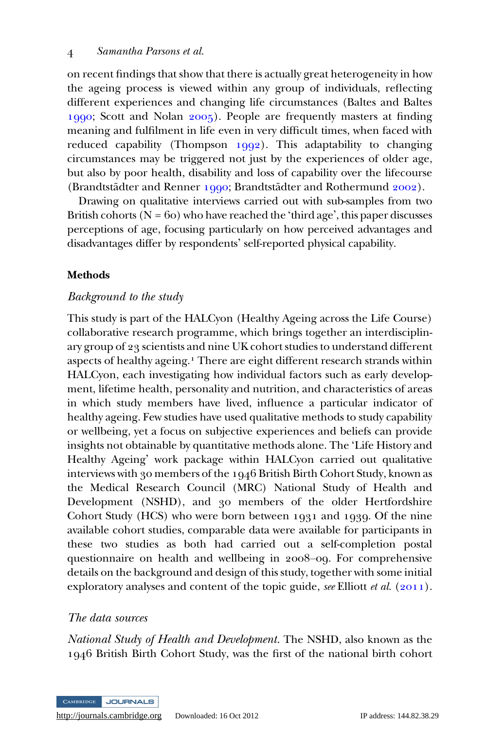on recent findings that show that there is actually great heterogeneity in how the ageing process is viewed within any group of individuals, reflecting different experiences and changing life circumstances (Baltes and Baltes 1990; Scott and Nolan 2005). People are frequently masters at finding meaning and fulfilment in life even in very difficult times, when faced with reduced capability (Thompson  $1992$ ). This adaptability to changing circumstances may be triggered not just by the experiences of older age, but also by poor health, disability and loss of capability over the lifecourse (Brandtstädter and Renner 1990; Brandtstädter and Rothermund 2002).

Drawing on qualitative interviews carried out with sub-samples from two British cohorts ( $N = 60$ ) who have reached the 'third age', this paper discusses perceptions of age, focusing particularly on how perceived advantages and disadvantages differ by respondents' self-reported physical capability.

## **Methods**

## Background to the study

This study is part of the HALCyon (Healthy Ageing across the Life Course) collaborative research programme, which brings together an interdisciplinary group of 23 scientists and nine UK cohort studies to understand different aspects of healthy ageing.<sup>1</sup> There are eight different research strands within HALCyon, each investigating how individual factors such as early development, lifetime health, personality and nutrition, and characteristics of areas in which study members have lived, influence a particular indicator of healthy ageing. Few studies have used qualitative methods to study capability or wellbeing, yet a focus on subjective experiences and beliefs can provide insights not obtainable by quantitative methods alone. The 'Life History and Healthy Ageing' work package within HALCyon carried out qualitative interviews with 30 members of the 1946 British Birth Cohort Study, known as the Medical Research Council (MRC) National Study of Health and Development (NSHD), and 30 members of the older Hertfordshire Cohort Study (HCS) who were born between  $1931$  and  $1939$ . Of the nine available cohort studies, comparable data were available for participants in these two studies as both had carried out a self-completion postal questionnaire on health and wellbeing in 2008-09. For comprehensive details on the background and design of this study, together with some initial exploratory analyses and content of the topic guide, see Elliott et al.  $(2011)$ .

## The data sources

National Study of Health and Development. The NSHD, also known as the  $1946$  British Birth Cohort Study, was the first of the national birth cohort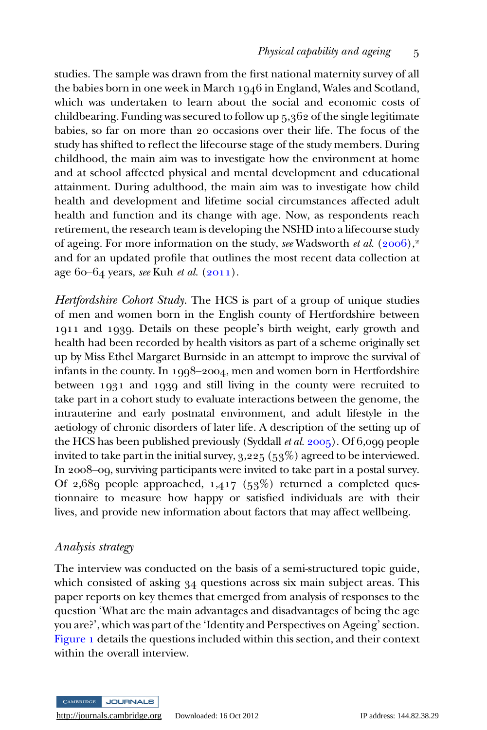studies. The sample was drawn from the first national maternity survey of all the babies born in one week in March in England, Wales and Scotland, which was undertaken to learn about the social and economic costs of childbearing. Funding was secured to follow up  $5,362$  of the single legitimate babies, so far on more than 20 occasions over their life. The focus of the study has shifted to reflect the lifecourse stage of the study members. During childhood, the main aim was to investigate how the environment at home and at school affected physical and mental development and educational attainment. During adulthood, the main aim was to investigate how child health and development and lifetime social circumstances affected adult health and function and its change with age. Now, as respondents reach retirement, the research team is developing the NSHD into a lifecourse study of ageing. For more information on the study, see Wadsworth et al.  $(2006)^2$ , and for an updated profile that outlines the most recent data collection at age  $60-64$  years, see Kuh et al.  $(2011)$ .

Hertfordshire Cohort Study. The HCS is part of a group of unique studies of men and women born in the English county of Hertfordshire between 1911 and 1939. Details on these people's birth weight, early growth and health had been recorded by health visitors as part of a scheme originally set up by Miss Ethel Margaret Burnside in an attempt to improve the survival of infants in the county. In  $1998 - 2004$ , men and women born in Hertfordshire between 1931 and 1939 and still living in the county were recruited to take part in a cohort study to evaluate interactions between the genome, the intrauterine and early postnatal environment, and adult lifestyle in the aetiology of chronic disorders of later life. A description of the setting up of the HCS has been published previously (Syddall *et al.*  $2005$ ). Of 6,099 people invited to take part in the initial survey,  $3,225$  ( $53\%$ ) agreed to be interviewed. In 2008–09, surviving participants were invited to take part in a postal survey. Of 2,689 people approached,  $1,417$  (53%) returned a completed questionnaire to measure how happy or satisfied individuals are with their lives, and provide new information about factors that may affect wellbeing.

#### Analysis strategy

The interview was conducted on the basis of a semi-structured topic guide, which consisted of asking  $34$  questions across six main subject areas. This paper reports on key themes that emerged from analysis of responses to the question 'What are the main advantages and disadvantages of being the age you are?', which was part of the 'Identity and Perspectives on Ageing' section. Figure 1 details the questions included within this section, and their context within the overall interview.

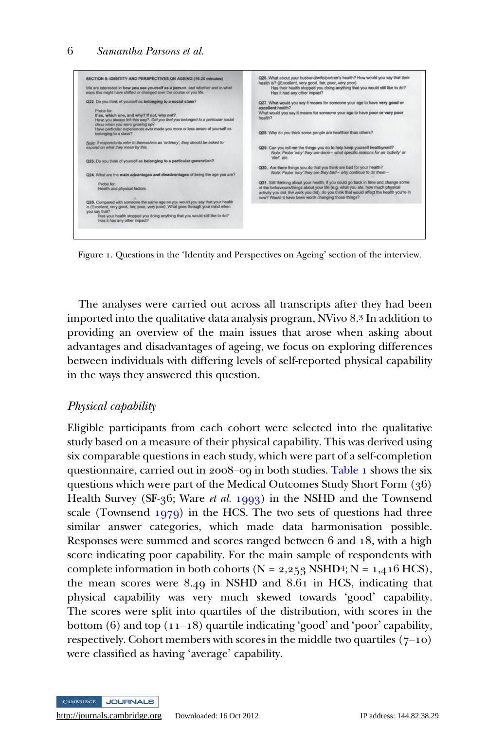

Figure . Questions in the 'Identity and Perspectives on Ageing' section of the interview.

The analyses were carried out across all transcripts after they had been imported into the qualitative data analysis program, NVivo 8.3 In addition to providing an overview of the main issues that arose when asking about advantages and disadvantages of ageing, we focus on exploring differences between individuals with differing levels of self-reported physical capability in the ways they answered this question.

### Physical capability

Eligible participants from each cohort were selected into the qualitative study based on a measure of their physical capability. This was derived using six comparable questions in each study, which were part of a self-completion questionnaire, carried out in 2008–09 in both studies. Table 1 shows the six questions which were part of the Medical Outcomes Study Short Form  $(36)$ Health Survey (SF-36; Ware *et al.* 1993) in the NSHD and the Townsend scale (Townsend  $1979$ ) in the HCS. The two sets of questions had three similar answer categories, which made data harmonisation possible. Responses were summed and scores ranged between  $6$  and  $18$ , with a high score indicating poor capability. For the main sample of respondents with complete information in both cohorts ( $N = 2,253$  NSHD<sup>4</sup>;  $N = 1,416$  HCS), the mean scores were  $8.49$  in NSHD and  $8.61$  in HCS, indicating that physical capability was very much skewed towards 'good' capability. The scores were split into quartiles of the distribution, with scores in the bottom  $(6)$  and top  $(11-18)$  quartile indicating 'good' and 'poor' capability, respectively. Cohort members with scores in the middle two quartiles  $(7-10)$ were classified as having 'average' capability.

CAMBRIDGE JOURNALS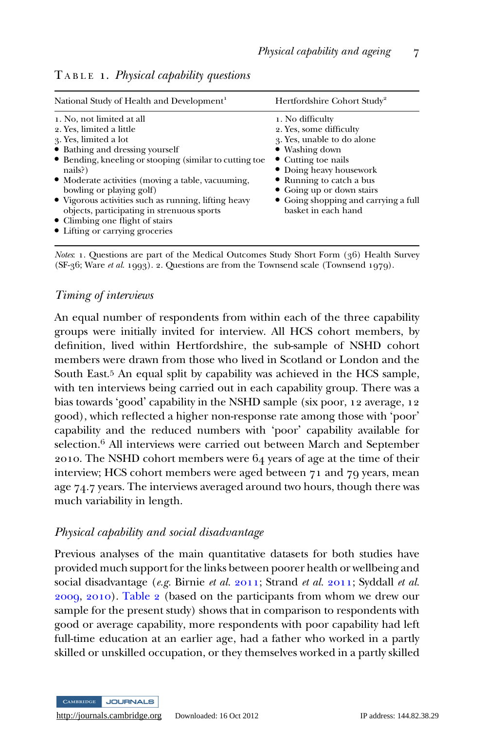| National Study of Health and Development <sup>1</sup>                                                                                                                                                                                                                                                                                                                                                                                                 | Hertfordshire Cohort Study <sup>2</sup>                                                                                                                                                                                                                               |  |  |
|-------------------------------------------------------------------------------------------------------------------------------------------------------------------------------------------------------------------------------------------------------------------------------------------------------------------------------------------------------------------------------------------------------------------------------------------------------|-----------------------------------------------------------------------------------------------------------------------------------------------------------------------------------------------------------------------------------------------------------------------|--|--|
| 1. No, not limited at all<br>2. Yes, limited a little<br>3. Yes, limited a lot<br>• Bathing and dressing yourself<br>• Bending, kneeling or stooping (similar to cutting toe)<br>nails?)<br>• Moderate activities (moving a table, vacuuming,<br>bowling or playing golf)<br>• Vigorous activities such as running, lifting heavy<br>objects, participating in strenuous sports<br>• Climbing one flight of stairs<br>• Lifting or carrying groceries | 1. No difficulty<br>2. Yes, some difficulty<br>3. Yes, unable to do alone<br>• Washing down<br>• Cutting toe nails<br>• Doing heavy housework<br>• Running to catch a bus<br>• Going up or down stairs<br>• Going shopping and carrying a full<br>basket in each hand |  |  |

### $T$ ABLE 1. Physical capability questions

Notes: 1. Questions are part of the Medical Outcomes Study Short Form (36) Health Survey  $(SF-36; Ware \text{ et al. } 1993)$ . 2. Questions are from the Townsend scale (Townsend 1979).

### Timing of interviews

An equal number of respondents from within each of the three capability groups were initially invited for interview. All HCS cohort members, by definition, lived within Hertfordshire, the sub-sample of NSHD cohort members were drawn from those who lived in Scotland or London and the South East.<sup>5</sup> An equal split by capability was achieved in the HCS sample, with ten interviews being carried out in each capability group. There was a bias towards 'good' capability in the NSHD sample (six poor, 12 average, 12 good), which reflected a higher non-response rate among those with 'poor' capability and the reduced numbers with 'poor' capability available for selection.<sup>6</sup> All interviews were carried out between March and September 2010. The NSHD cohort members were  $64$  years of age at the time of their interview; HCS cohort members were aged between  $71$  and  $79$  years, mean age  $74.7$  years. The interviews averaged around two hours, though there was much variability in length.

### Physical capability and social disadvantage

Previous analyses of the main quantitative datasets for both studies have provided much support for the links between poorer health or wellbeing and social disadvantage (e.g. Birnie et al. 2011; Strand et al. 2011; Syddall et al.  $(2000, 2010)$ . Table 2 (based on the participants from whom we drew our sample for the present study) shows that in comparison to respondents with good or average capability, more respondents with poor capability had left full-time education at an earlier age, had a father who worked in a partly skilled or unskilled occupation, or they themselves worked in a partly skilled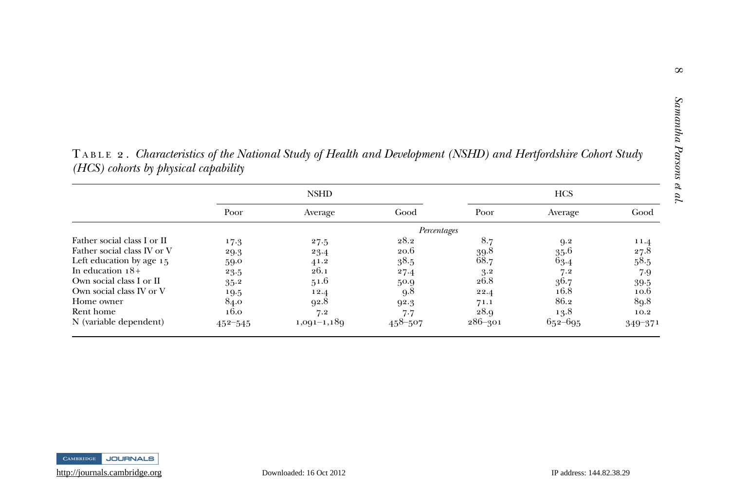|                             | <b>NSHD</b> |               |             | <b>HCS</b> |             |             |  |
|-----------------------------|-------------|---------------|-------------|------------|-------------|-------------|--|
|                             | Poor        | Average       | Good        | Poor       | Average     | Good        |  |
|                             | Percentages |               |             |            |             |             |  |
| Father social class I or II | 17.3        | 27.5          | 28.2        | 8.7        | 9.2         | 11.4        |  |
| Father social class IV or V | 29.3        | 23.4          | 20.6        | 39.8       | 35.6        | 27.8        |  |
| Left education by age $15$  | 59.0        | 41.2          | 38.5        | 68.7       | 63.4        | 58.5        |  |
| In education $18+$          | 23.5        | 26.1          | 27.4        | 3.2        | 7.2         | 7.9         |  |
| Own social class I or II    | 35.2        | 51.6          | 50.9        | 26.8       | 36.7        | 39.5        |  |
| Own social class IV or V    | 19.5        | 12.4          | 9.8         | 22.4       | 16.8        | 10.6        |  |
| Home owner                  | 84.0        | 92.8          | 92.3        | 71.1       | 86.2        | 89.8        |  |
| Rent home                   | 16.0        | 7.2           | 7.7         | 28.9       | 13.8        | 10.2        |  |
| N (variable dependent)      | $452 - 545$ | $1,091-1,189$ | $458 - 507$ | 286–301    | $652 - 695$ | $349 - 371$ |  |

T ABLE . Characteristics of the National Study of Health and Development (NSHD) and Hertfordshire Cohort Study (HCS) cohorts by physical capability

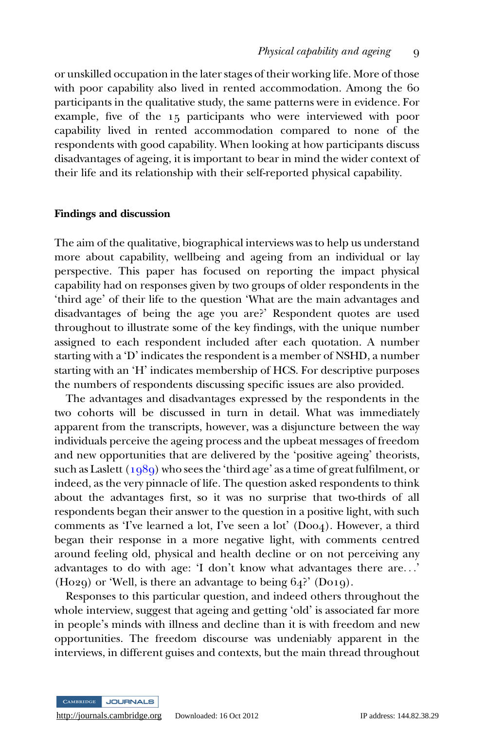or unskilled occupation in the later stages of their working life. More of those with poor capability also lived in rented accommodation. Among the 60 participants in the qualitative study, the same patterns were in evidence. For example, five of the 15 participants who were interviewed with poor capability lived in rented accommodation compared to none of the respondents with good capability. When looking at how participants discuss disadvantages of ageing, it is important to bear in mind the wider context of their life and its relationship with their self-reported physical capability.

#### Findings and discussion

The aim of the qualitative, biographical interviews was to help us understand more about capability, wellbeing and ageing from an individual or lay perspective. This paper has focused on reporting the impact physical capability had on responses given by two groups of older respondents in the 'third age' of their life to the question 'What are the main advantages and disadvantages of being the age you are?' Respondent quotes are used throughout to illustrate some of the key findings, with the unique number assigned to each respondent included after each quotation. A number starting with a 'D' indicates the respondent is a member of NSHD, a number starting with an 'H' indicates membership of HCS. For descriptive purposes the numbers of respondents discussing specific issues are also provided.

The advantages and disadvantages expressed by the respondents in the two cohorts will be discussed in turn in detail. What was immediately apparent from the transcripts, however, was a disjuncture between the way individuals perceive the ageing process and the upbeat messages of freedom and new opportunities that are delivered by the 'positive ageing' theorists, such as Laslett  $(1080)$  who sees the 'third age' as a time of great fulfilment, or indeed, as the very pinnacle of life. The question asked respondents to think about the advantages first, so it was no surprise that two-thirds of all respondents began their answer to the question in a positive light, with such comments as 'I've learned a lot, I've seen a lot'  $(Doo4)$ . However, a third began their response in a more negative light, with comments centred around feeling old, physical and health decline or on not perceiving any advantages to do with age: 'I don't know what advantages there are...'  $(Hoq)$  or 'Well, is there an advantage to being  $64$ ?' (D $oq$ ).

Responses to this particular question, and indeed others throughout the whole interview, suggest that ageing and getting 'old' is associated far more in people's minds with illness and decline than it is with freedom and new opportunities. The freedom discourse was undeniably apparent in the interviews, in different guises and contexts, but the main thread throughout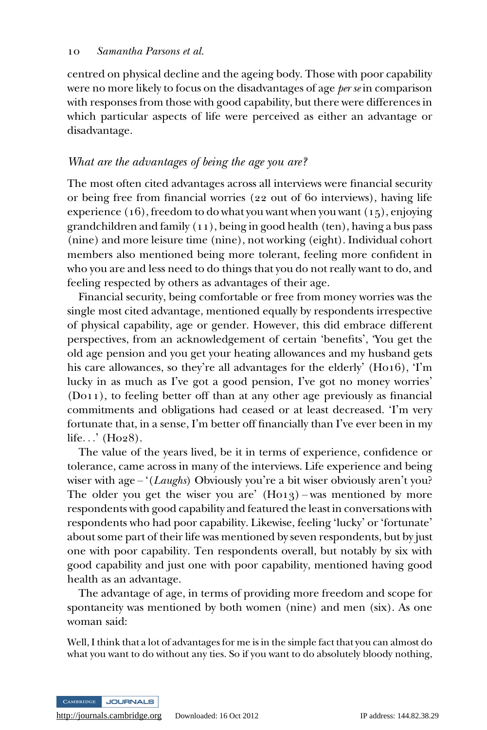centred on physical decline and the ageing body. Those with poor capability were no more likely to focus on the disadvantages of age *per se* in comparison with responses from those with good capability, but there were differences in which particular aspects of life were perceived as either an advantage or disadvantage.

## What are the advantages of being the age you are?

The most often cited advantages across all interviews were financial security or being free from financial worries ( $22$  out of 60 interviews), having life experience (16), freedom to do what you want when you want (15), enjoying grandchildren and family  $(11)$ , being in good health (ten), having a bus pass (nine) and more leisure time (nine), not working (eight). Individual cohort members also mentioned being more tolerant, feeling more confident in who you are and less need to do things that you do not really want to do, and feeling respected by others as advantages of their age.

Financial security, being comfortable or free from money worries was the single most cited advantage, mentioned equally by respondents irrespective of physical capability, age or gender. However, this did embrace different perspectives, from an acknowledgement of certain 'benefits', 'You get the old age pension and you get your heating allowances and my husband gets his care allowances, so they're all advantages for the elderly'  $(Ho16)$ , 'I'm lucky in as much as I've got a good pension, I've got no money worries'  $(Do11)$ , to feeling better off than at any other age previously as financial commitments and obligations had ceased or at least decreased. 'I'm very fortunate that, in a sense, I'm better off financially than I've ever been in my life...'  $(H<sub>028</sub>)$ .

The value of the years lived, be it in terms of experience, confidence or tolerance, came across in many of the interviews. Life experience and being wiser with age – '(Laughs) Obviously you're a bit wiser obviously aren't you? The older you get the wiser you are'  $(Ho<sub>13</sub>)$  – was mentioned by more respondents with good capability and featured the least in conversations with respondents who had poor capability. Likewise, feeling 'lucky' or 'fortunate' about some part of their life was mentioned by seven respondents, but by just one with poor capability. Ten respondents overall, but notably by six with good capability and just one with poor capability, mentioned having good health as an advantage.

The advantage of age, in terms of providing more freedom and scope for spontaneity was mentioned by both women (nine) and men (six). As one woman said:

Well, I think that a lot of advantages for me is in the simple fact that you can almost do what you want to do without any ties. So if you want to do absolutely bloody nothing,

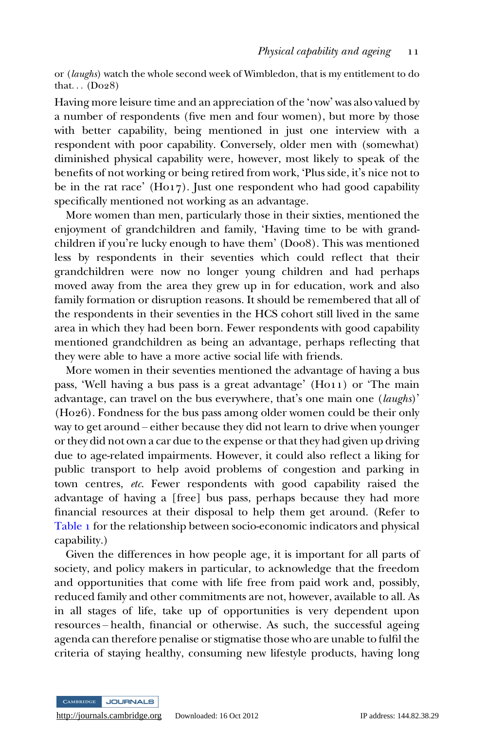or (laughs) watch the whole second week of Wimbledon, that is my entitlement to do that...  $(Do<sub>2</sub>8)$ 

Having more leisure time and an appreciation of the 'now' was also valued by a number of respondents (five men and four women), but more by those with better capability, being mentioned in just one interview with a respondent with poor capability. Conversely, older men with (somewhat) diminished physical capability were, however, most likely to speak of the benefits of not working or being retired from work, 'Plus side, it's nice not to be in the rat race'  $(Ho17)$ . Just one respondent who had good capability specifically mentioned not working as an advantage.

More women than men, particularly those in their sixties, mentioned the enjoyment of grandchildren and family, 'Having time to be with grandchildren if you're lucky enough to have them' (Doo8). This was mentioned less by respondents in their seventies which could reflect that their grandchildren were now no longer young children and had perhaps moved away from the area they grew up in for education, work and also family formation or disruption reasons. It should be remembered that all of the respondents in their seventies in the HCS cohort still lived in the same area in which they had been born. Fewer respondents with good capability mentioned grandchildren as being an advantage, perhaps reflecting that they were able to have a more active social life with friends.

More women in their seventies mentioned the advantage of having a bus pass, 'Well having a bus pass is a great advantage'  $(Ho11)$  or 'The main advantage, can travel on the bus everywhere, that's one main one (laughs)' (H026). Fondness for the bus pass among older women could be their only way to get around – either because they did not learn to drive when younger or they did not own a car due to the expense or that they had given up driving due to age-related impairments. However, it could also reflect a liking for public transport to help avoid problems of congestion and parking in town centres, etc. Fewer respondents with good capability raised the advantage of having a [free] bus pass, perhaps because they had more financial resources at their disposal to help them get around. (Refer to Table 1 for the relationship between socio-economic indicators and physical capability.)

Given the differences in how people age, it is important for all parts of society, and policy makers in particular, to acknowledge that the freedom and opportunities that come with life free from paid work and, possibly, reduced family and other commitments are not, however, available to all. As in all stages of life, take up of opportunities is very dependent upon resources – health, financial or otherwise. As such, the successful ageing agenda can therefore penalise or stigmatise those who are unable to fulfil the criteria of staying healthy, consuming new lifestyle products, having long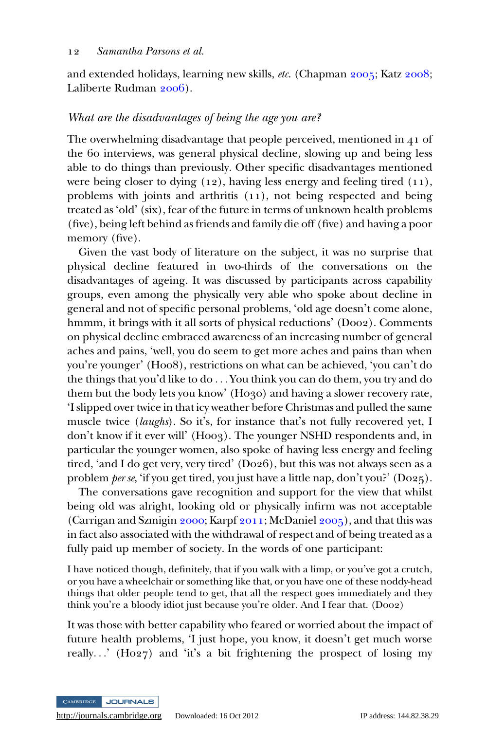and extended holidays, learning new skills, *etc.* (Chapman  $2005$ ; Katz  $2008$ ; Laliberte Rudman  $2006$ ).

## What are the disadvantages of being the age you are?

The overwhelming disadvantage that people perceived, mentioned in  $41$  of the 60 interviews, was general physical decline, slowing up and being less able to do things than previously. Other specific disadvantages mentioned were being closer to dying  $(12)$ , having less energy and feeling tired  $(11)$ , problems with joints and arthritis  $(11)$ , not being respected and being treated as 'old' (six), fear of the future in terms of unknown health problems (five), being left behind as friends and family die off (five) and having a poor memory (five).

Given the vast body of literature on the subject, it was no surprise that physical decline featured in two-thirds of the conversations on the disadvantages of ageing. It was discussed by participants across capability groups, even among the physically very able who spoke about decline in general and not of specific personal problems, 'old age doesn't come alone, hmmm, it brings with it all sorts of physical reductions' (Doo2). Comments on physical decline embraced awareness of an increasing number of general aches and pains, 'well, you do seem to get more aches and pains than when you're younger' (Hoo8), restrictions on what can be achieved, 'you can't do the things that you'd like to do ... You think you can do them, you try and do them but the body lets you know' (H030) and having a slower recovery rate, 'I slipped over twice in that icy weather before Christmas and pulled the same muscle twice (laughs). So it's, for instance that's not fully recovered yet, I don't know if it ever will' (Hoo3). The younger NSHD respondents and, in particular the younger women, also spoke of having less energy and feeling tired, 'and I do get very, very tired'  $(D\alpha 26)$ , but this was not always seen as a problem *per se*, 'if you get tired, you just have a little nap, don't you?' (D025).

The conversations gave recognition and support for the view that whilst being old was alright, looking old or physically infirm was not acceptable (Carrigan and Szmigin 2000; Karpf 2011; McDaniel 2005), and that this was in fact also associated with the withdrawal of respect and of being treated as a fully paid up member of society. In the words of one participant:

I have noticed though, definitely, that if you walk with a limp, or you've got a crutch, or you have a wheelchair or something like that, or you have one of these noddy-head things that older people tend to get, that all the respect goes immediately and they think you're a bloody idiot just because you're older. And I fear that.  $(Doo2)$ 

It was those with better capability who feared or worried about the impact of future health problems, 'I just hope, you know, it doesn't get much worse really...' (H $\alpha$ 27) and 'it's a bit frightening the prospect of losing my

JOURNALS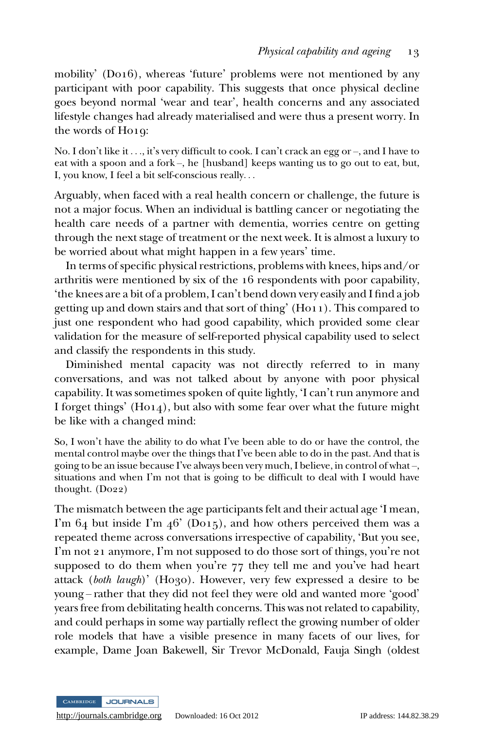mobility' (D016), whereas 'future' problems were not mentioned by any participant with poor capability. This suggests that once physical decline goes beyond normal 'wear and tear', health concerns and any associated lifestyle changes had already materialised and were thus a present worry. In the words of Ho19:

No. I don't like it ..., it's very difficult to cook. I can't crack an egg or –, and I have to eat with a spoon and a fork –, he [husband] keeps wanting us to go out to eat, but, I, you know, I feel a bit self-conscious really...

Arguably, when faced with a real health concern or challenge, the future is not a major focus. When an individual is battling cancer or negotiating the health care needs of a partner with dementia, worries centre on getting through the next stage of treatment or the next week. It is almost a luxury to be worried about what might happen in a few years' time.

In terms of specific physical restrictions, problems with knees, hips and/or arthritis were mentioned by six of the respondents with poor capability, 'the knees are a bit of a problem, I can't bend down very easily and I find a job getting up and down stairs and that sort of thing'  $(Ho<sub>11</sub>)$ . This compared to just one respondent who had good capability, which provided some clear validation for the measure of self-reported physical capability used to select and classify the respondents in this study.

Diminished mental capacity was not directly referred to in many conversations, and was not talked about by anyone with poor physical capability. It was sometimes spoken of quite lightly, 'I can't run anymore and I forget things'  $(Ho<sub>14</sub>)$ , but also with some fear over what the future might be like with a changed mind:

So, I won't have the ability to do what I've been able to do or have the control, the mental control maybe over the things that I've been able to do in the past. And that is going to be an issue because I've always been very much, I believe, in control of what –, situations and when I'm not that is going to be difficult to deal with I would have thought.  $(D)022)$ 

The mismatch between the age participants felt and their actual age 'I mean, I'm  $64$  but inside I'm  $46'$  (D015), and how others perceived them was a repeated theme across conversations irrespective of capability, 'But you see, I'm not 21 anymore, I'm not supposed to do those sort of things, you're not supposed to do them when you're  $77$  they tell me and you've had heart attack (both laugh)' (H030). However, very few expressed a desire to be young – rather that they did not feel they were old and wanted more 'good' years free from debilitating health concerns. This was not related to capability, and could perhaps in some way partially reflect the growing number of older role models that have a visible presence in many facets of our lives, for example, Dame Joan Bakewell, Sir Trevor McDonald, Fauja Singh (oldest

JOURNALS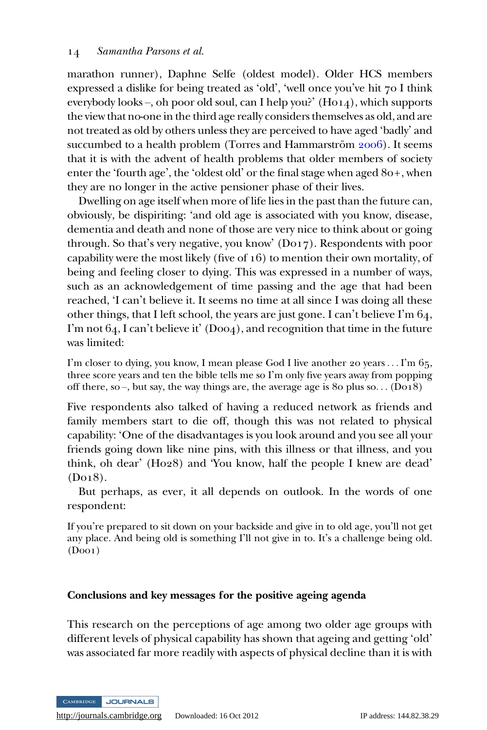marathon runner), Daphne Selfe (oldest model). Older HCS members expressed a dislike for being treated as 'old', 'well once you've hit  $\tau$ o I think everybody looks –, oh poor old soul, can I help you?'  $(Ho<sub>14</sub>)$ , which supports the view that no-one in the third age really considers themselves as old, and are not treated as old by others unless they are perceived to have aged 'badly' and succumbed to a health problem (Torres and Hammarström 2006). It seems that it is with the advent of health problems that older members of society enter the 'fourth age', the 'oldest old' or the final stage when aged  $80+$ , when they are no longer in the active pensioner phase of their lives.

Dwelling on age itself when more of life lies in the past than the future can, obviously, be dispiriting: 'and old age is associated with you know, disease, dementia and death and none of those are very nice to think about or going through. So that's very negative, you know'  $(Do17)$ . Respondents with poor capability were the most likely (five of  $16$ ) to mention their own mortality, of being and feeling closer to dying. This was expressed in a number of ways, such as an acknowledgement of time passing and the age that had been reached, 'I can't believe it. It seems no time at all since I was doing all these other things, that I left school, the years are just gone. I can't believe I'm  $64$ , I'm not  $64$ , I can't believe it' (Doo<sub>4</sub>), and recognition that time in the future was limited:

I'm closer to dying, you know, I mean please God I live another 20 years ... I'm  $65$ , three score years and ten the bible tells me so I'm only five years away from popping off there, so –, but say, the way things are, the average age is  $80$  plus so... (D $0.18$ )

Five respondents also talked of having a reduced network as friends and family members start to die off, though this was not related to physical capability: 'One of the disadvantages is you look around and you see all your friends going down like nine pins, with this illness or that illness, and you think, oh dear' (H028) and 'You know, half the people I knew are dead'  $(Do18)$ .

But perhaps, as ever, it all depends on outlook. In the words of one respondent:

If you're prepared to sit down on your backside and give in to old age, you'll not get any place. And being old is something I'll not give in to. It's a challenge being old.  $(D)$ 

### Conclusions and key messages for the positive ageing agenda

This research on the perceptions of age among two older age groups with different levels of physical capability has shown that ageing and getting 'old' was associated far more readily with aspects of physical decline than it is with

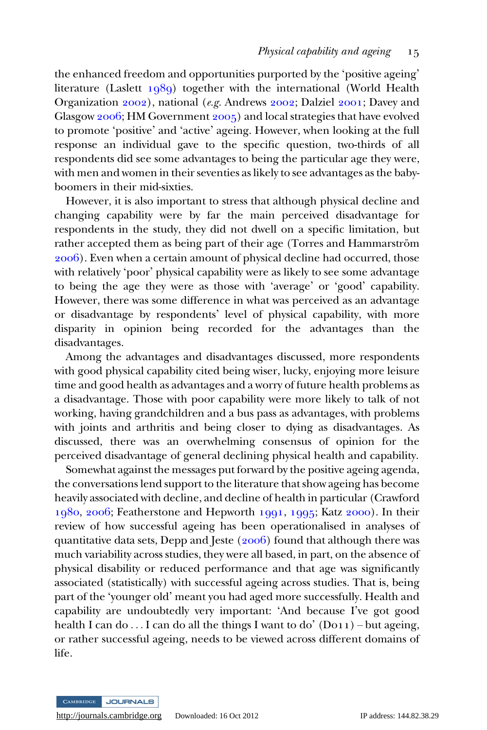the enhanced freedom and opportunities purported by the 'positive ageing' literature (Laslett  $1989$ ) together with the international (World Health Organization  $2002$ ), national (e.g. Andrews  $2002$ ; Dalziel  $2001$ ; Davey and Glasgow 2006; HM Government 2005) and local strategies that have evolved to promote 'positive' and 'active' ageing. However, when looking at the full response an individual gave to the specific question, two-thirds of all respondents did see some advantages to being the particular age they were, with men and women in their seventies as likely to see advantages as the babyboomers in their mid-sixties.

However, it is also important to stress that although physical decline and changing capability were by far the main perceived disadvantage for respondents in the study, they did not dwell on a specific limitation, but rather accepted them as being part of their age (Torres and Hammarström ). Even when a certain amount of physical decline had occurred, those with relatively 'poor' physical capability were as likely to see some advantage to being the age they were as those with 'average' or 'good' capability. However, there was some difference in what was perceived as an advantage or disadvantage by respondents' level of physical capability, with more disparity in opinion being recorded for the advantages than the disadvantages.

Among the advantages and disadvantages discussed, more respondents with good physical capability cited being wiser, lucky, enjoying more leisure time and good health as advantages and a worry of future health problems as a disadvantage. Those with poor capability were more likely to talk of not working, having grandchildren and a bus pass as advantages, with problems with joints and arthritis and being closer to dying as disadvantages. As discussed, there was an overwhelming consensus of opinion for the perceived disadvantage of general declining physical health and capability.

Somewhat against the messages put forward by the positive ageing agenda, the conversations lend support to the literature that show ageing has become heavily associated with decline, and decline of health in particular (Crawford  $1980, 2006$ ; Featherstone and Hepworth  $1991, 1995$ ; Katz  $2000$ ). In their review of how successful ageing has been operationalised in analyses of quantitative data sets, Depp and Jeste  $(2006)$  found that although there was much variability across studies, they were all based, in part, on the absence of physical disability or reduced performance and that age was significantly associated (statistically) with successful ageing across studies. That is, being part of the 'younger old' meant you had aged more successfully. Health and capability are undoubtedly very important: 'And because I've got good health I can do ... I can do all the things I want to do'  $(Do11)$  – but ageing, or rather successful ageing, needs to be viewed across different domains of life.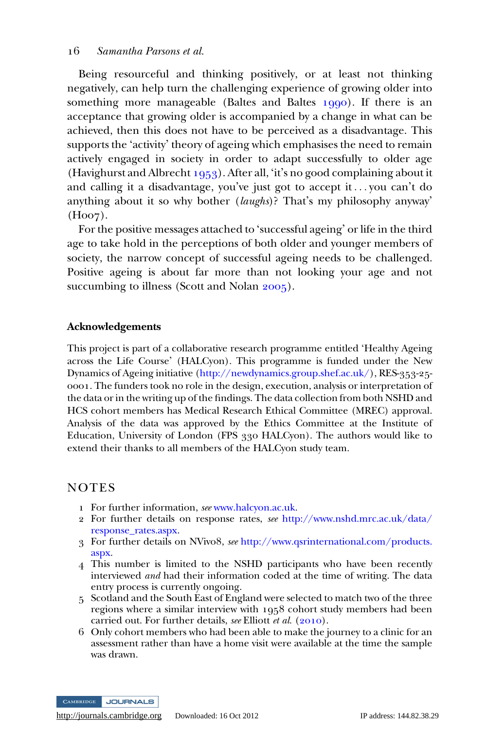#### Samantha Parsons et al.

Being resourceful and thinking positively, or at least not thinking negatively, can help turn the challenging experience of growing older into something more manageable (Baltes and Baltes  $1qqq$ ). If there is an acceptance that growing older is accompanied by a change in what can be achieved, then this does not have to be perceived as a disadvantage. This supports the 'activity' theory of ageing which emphasises the need to remain actively engaged in society in order to adapt successfully to older age (Havighurst and Albrecht  $1953$ ). After all, 'it's no good complaining about it and calling it a disadvantage, you've just got to accept it ... you can't do anything about it so why bother (laughs)? That's my philosophy anyway'  $(Hoo7).$ 

For the positive messages attached to 'successful ageing' or life in the third age to take hold in the perceptions of both older and younger members of society, the narrow concept of successful ageing needs to be challenged. Positive ageing is about far more than not looking your age and not succumbing to illness (Scott and Nolan  $2005$ ).

#### Acknowledgements

This project is part of a collaborative research programme entitled 'Healthy Ageing across the Life Course' (HALCyon). This programme is funded under the New Dynamics of Ageing initiative  $\frac{http://newdynamics.group.shefac.uk/}{http://newdynamics.group.shefac.uk/}{REF_35-35-25-}$ . The funders took no role in the design, execution, analysis or interpretation of the data or in the writing up of the findings. The data collection from both NSHD and HCS cohort members has Medical Research Ethical Committee (MREC) approval. Analysis of the data was approved by the Ethics Committee at the Institute of Education, University of London (FPS 330 HALCyon). The authors would like to extend their thanks to all members of the HALCyon study team.

### NOTES

- 1 For further information, see [www.halcyon.ac.uk](http://www.halcyon.ac.uk).
- For further details on response rates, see [http://www.nshd.mrc.ac.uk/data/](http://www.nshd.mrc.ac.uk/data/response_rates.aspx) [response\\_rates.aspx.](http://www.nshd.mrc.ac.uk/data/response_rates.aspx)
- 3 For further details on NVivo8, see [http://www.qsrinternational.com/products.](http://www.qsrinternational.com/products.aspx) [aspx.](http://www.qsrinternational.com/products.aspx)
- This number is limited to the NSHD participants who have been recently interviewed and had their information coded at the time of writing. The data entry process is currently ongoing.
- Scotland and the South East of England were selected to match two of the three regions where a similar interview with  $1958$  cohort study members had been carried out. For further details, see Elliott et al. (2010).
- Only cohort members who had been able to make the journey to a clinic for an assessment rather than have a home visit were available at the time the sample was drawn.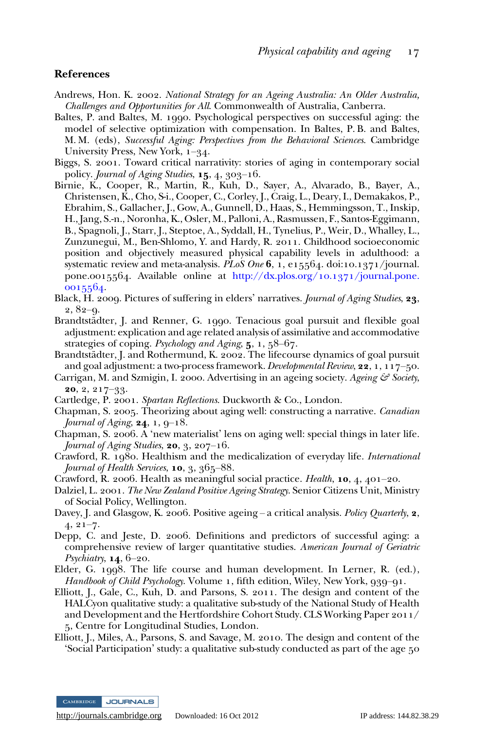#### References

- Andrews, Hon. K. 2002. National Strategy for an Ageing Australia: An Older Australia, Challenges and Opportunities for All. Commonwealth of Australia, Canberra.
- Baltes, P. and Baltes, M. 1990. Psychological perspectives on successful aging: the model of selective optimization with compensation. In Baltes, P. B. and Baltes, M. M. (eds), Successful Aging: Perspectives from the Behavioral Sciences. Cambridge University Press, New York, 1-34.
- Biggs, S. 2001. Toward critical narrativity: stories of aging in contemporary social policy. Journal of Aging Studies,  $15, 4, 303-16$ .
- Birnie, K., Cooper, R., Martin, R., Kuh, D., Sayer, A., Alvarado, B., Bayer, A., Christensen, K., Cho, S-i., Cooper, C., Corley, J., Craig, L., Deary, I., Demakakos, P., Ebrahim, S., Gallacher, J., Gow, A., Gunnell, D., Haas, S., Hemmingsson, T., Inskip, H., Jang, S.-n., Noronha, K., Osler, M., Palloni, A., Rasmussen, F., Santos-Eggimann, B., Spagnoli, J., Starr, J., Steptoe, A., Syddall, H., Tynelius, P., Weir, D., Whalley, L., Zunzunegui, M., Ben-Shlomo, Y. and Hardy, R. 2011. Childhood socioeconomic position and objectively measured physical capability levels in adulthood: a systematic review and meta-analysis. PLoS One  $6$ , 1, e.15564. doi:10.1371/journal. pone.oo15564. Available online at [http://dx.plos.org/](http://dx.plos.org/10.1371/journal.pone.0015564)10.1371/journal.pone. 0015564.
- Black, H. 2009. Pictures of suffering in elders' narratives. *Journal of Aging Studies*,  $23$ .  $2, 82-9.$
- Brandtstädter, J. and Renner, G. 1990. Tenacious goal pursuit and flexible goal adjustment: explication and age related analysis of assimilative and accommodative strategies of coping. Psychology and Aging,  $5, 1, 58-67$ .
- Brandtstädter, J. and Rothermund, K. 2002. The lifecourse dynamics of goal pursuit and goal adjustment: a two-process framework. *Developmental Review*,  $22$ ,  $1$ ,  $117-50$ .
- Carrigan, M. and Szmigin, I. 2000. Advertising in an ageing society. Ageing  $\mathcal{F}$  Society,  $20, 2, 217 - 33.$
- Cartledge, P. 2001. Spartan Reflections. Duckworth & Co., London.
- Chapman, S. 2005. Theorizing about aging well: constructing a narrative. *Canadian* Journal of Aging,  $24$ , 1,  $9-18$ .
- Chapman, S. 2006. A 'new materialist' lens on aging well: special things in later life. Journal of Aging Studies, **20**, 3,  $207-16$ .
- Crawford, R. 1980. Healthism and the medicalization of everyday life. *International* Journal of Health Services,  $10, 3, 365 - 88$ .
- Crawford, R. 2006. Health as meaningful social practice. *Health*, **10**, 4, 401–20.
- Dalziel, L. 2001. The New Zealand Positive Ageing Strategy. Senior Citizens Unit, Ministry of Social Policy, Wellington.
- Davey, J. and Glasgow, K. 2006. Positive ageing a critical analysis. Policy Quarterly,  $a$ ,  $4, 21-7.$
- Depp, C. and Jeste, D. 2006. Definitions and predictors of successful aging: a comprehensive review of larger quantitative studies. American Journal of Geriatric  $P$ sychiatry, 14,  $6-20$ .
- Elder, G. 1998. The life course and human development. In Lerner, R. (ed.), Handbook of Child Psychology. Volume  $1$ , fifth edition, Wiley, New York,  $939 - 91$ .
- Elliott, J., Gale, C., Kuh, D. and Parsons, S. 2011. The design and content of the HALCyon qualitative study: a qualitative sub-study of the National Study of Health and Development and the Hertfordshire Cohort Study. CLS Working Paper  $2011/$ , Centre for Longitudinal Studies, London.
- Elliott, J., Miles, A., Parsons, S. and Savage, M. 2010. The design and content of the 'Social Participation' study: a qualitative sub-study conducted as part of the age

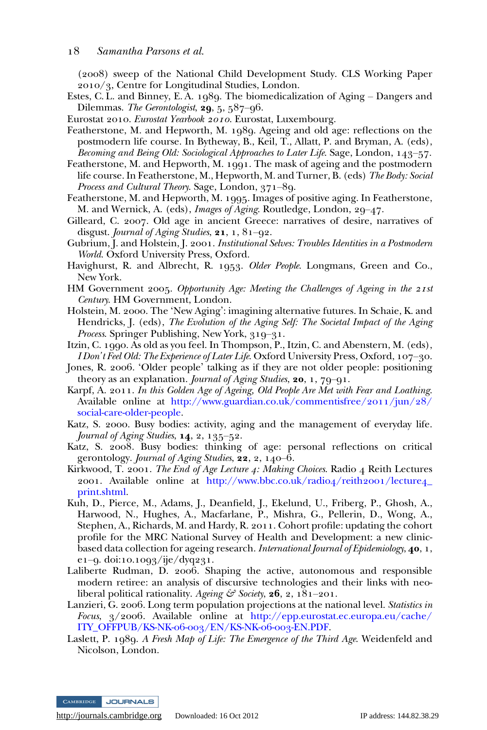(2008) sweep of the National Child Development Study. CLS Working Paper 2010/3, Centre for Longitudinal Studies, London.

- Estes, C. L. and Binney, E. A. 1989. The biomedicalization of Aging Dangers and Dilemmas. The Gerontologist,  $29, 5, 587-96$ .
- Eurostat 2010. Eurostat Yearbook 2010. Eurostat, Luxembourg.
- Featherstone, M. and Hepworth, M. 1989. Ageing and old age: reflections on the postmodern life course. In Bytheway, B., Keil, T., Allatt, P. and Bryman, A. (eds), Becoming and Being Old: Sociological Approaches to Later Life. Sage, London,  $143-57$ .
- Featherstone, M. and Hepworth, M. 1991. The mask of ageing and the postmodern life course. In Featherstone, M., Hepworth, M. and Turner, B. (eds) The Body: Social *Process and Cultural Theory.* Sage, London,  $371-89$ .
- Featherstone, M. and Hepworth, M. 1995. Images of positive aging. In Featherstone, M. and Wernick, A. (eds), *Images of Aging*. Routledge, London, 29–47.
- Gilleard, C. 2007. Old age in ancient Greece: narratives of desire, narratives of disgust. Journal of Aging Studies,  $21, 1, 81-92$ .
- Gubrium, J. and Holstein, J. 2001. Institutional Selves: Troubles Identities in a Postmodern World. Oxford University Press, Oxford.
- Havighurst, R. and Albrecht, R. 1953. Older People. Longmans, Green and Co., New York.
- HM Government 2005. Opportunity Age: Meeting the Challenges of Ageing in the 21st Century. HM Government, London.
- Holstein, M. 2000. The 'New Aging': imagining alternative futures. In Schaie, K. and Hendricks, J. (eds), The Evolution of the Aging Self: The Societal Impact of the Aging *Process.* Springer Publishing, New York, 319–31.
- Itzin, C. 1990. As old as you feel. In Thompson, P., Itzin, C. and Abenstern, M. (eds), I Don't Feel Old: The Experience of Later Life. Oxford University Press, Oxford, 107–30.
- Jones, R. 2006. 'Older people' talking as if they are not older people: positioning theory as an explanation. Journal of Aging Studies, 20, 1, 79-91.
- Karpf, A. 2011. In this Golden Age of Ageing, Old People Are Met with Fear and Loathing. Available online at [http://www.guardian.co.uk/commentisfree/](http://www.guardian.co.uk/commentisfree/2011/jun/28/social-care-older-people)2011/jun/28/ [social-care-older-people](http://www.guardian.co.uk/commentisfree/2011/jun/28/social-care-older-people).
- Katz, S. 2000. Busy bodies: activity, aging and the management of everyday life. Journal of Aging Studies,  $14, 2, 135-52$ .
- Katz, S. 2008. Busy bodies: thinking of age: personal reflections on critical gerontology. *Journal of Aging Studies*,  $22, 2, 140-6$ .
- Kirkwood, T. 2001. The End of Age Lecture 4: Making Choices. Radio 4 Reith Lectures 2001. Available online at [http://www.bbc.co.uk/radio](http://www.bbc.co.uk/radio4/reith2001/lecture4_print.shtml)4/reith2001/lecture4\_ [print.shtml.](http://www.bbc.co.uk/radio4/reith2001/lecture4_print.shtml)
- Kuh, D., Pierce, M., Adams, J., Deanfield, J., Ekelund, U., Friberg, P., Ghosh, A., Harwood, N., Hughes, A., Macfarlane, P., Mishra, G., Pellerin, D., Wong, A., Stephen, A., Richards, M. and Hardy, R. 2011. Cohort profile: updating the cohort profile for the MRC National Survey of Health and Development: a new clinicbased data collection for ageing research. *International Journal of Epidemiology*,  $40, 1$ , e1–9. doi:10.1093/ije/dyq231.
- Laliberte Rudman, D. 2006. Shaping the active, autonomous and responsible modern retiree: an analysis of discursive technologies and their links with neoliberal political rationality. Ageing  $\mathcal{C}$  Society, **26**, 2, 181-201.
- Lanzieri, G. 2006. Long term population projections at the national level. *Statistics in* Focus,  $\frac{9}{2006}$ . Available online at [http://epp.eurostat.ec.europa.eu/cache/](http://epp.eurostat.ec.europa.eu/cache/ITY_OFFPUB/KS-NK-06-003/EN/KS-NK-06-003-EN.PDF) [ITY\\_OFFPUB/KS-NK-](http://epp.eurostat.ec.europa.eu/cache/ITY_OFFPUB/KS-NK-06-003/EN/KS-NK-06-003-EN.PDF)06-003/EN/KS-NK-06-003-EN.PDF.
- Laslett, P. 1989. A Fresh Map of Life: The Emergence of the Third Age. Weidenfeld and Nicolson, London.

**JOURNALS**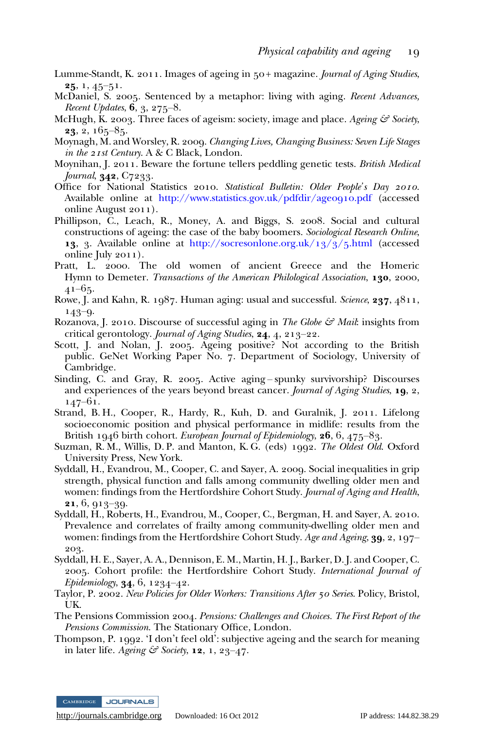- Lumme-Standt, K. 2011. Images of ageing in 50+ magazine. Journal of Aging Studies,  $25, 1, 45 - 51.$
- McDaniel, S. 2005. Sentenced by a metaphor: living with aging. *Recent Advances*, Recent Updates,  $6, 3, 275 -8.$
- McHugh, K. 2003. Three faces of ageism: society, image and place. Ageing  $\mathcal{F}$  Society, 23, 2,  $165 - 85$ .
- Moynagh, M. and Worsley, R. 2009. Changing Lives, Changing Business: Seven Life Stages in the  $2$ Ist Century. A & C Black, London.
- Moynihan, J. 2011. Beware the fortune tellers peddling genetic tests. British Medical  $Journal, 342, C7233.$
- Office for National Statistics 2010. Statistical Bulletin: Older People's Day 2010. Available online at [http://www.statistics.gov.uk/pdfdir/age](http://www.statistics.gov.uk/pdfdir/age0910.pdf)oq10.pdf (accessed online August 2011).
- Phillipson, C., Leach, R., Money, A. and Biggs, S. 2008. Social and cultural constructions of ageing: the case of the baby boomers. Sociological Research Online, 13, 3. Available online at [http://socresonlone.org.uk/](http://socresonlone.org.uk/13/3/5.html)13/3/5.html (accessed online  $\text{[uly 2011)}.$
- Pratt, L. 2000. The old women of ancient Greece and the Homeric Hymn to Demeter. Transactions of the American Philological Association, 130, 2000,  $41-65.$
- Rowe, J. and Kahn, R. 1987. Human aging: usual and successful. Science,  $237,4811$ ,  $143 - 9.$
- Rozanova, J. 2010. Discourse of successful aging in The Globe  $\mathcal{F}$  Mail: insights from critical gerontology. Journal of Aging Studies,  $24, 4, 213-22$ .
- Scott, J. and Nolan, J. 2005. Ageing positive? Not according to the British public. GeNet Working Paper No. 7. Department of Sociology, University of Cambridge.
- Sinding, C. and Gray, R. 2005. Active aging spunky survivorship? Discourses and experiences of the years beyond breast cancer. Journal of Aging Studies,  $19, 2$ ,  $147 - 61.$
- Strand, B. H., Cooper, R., Hardy, R., Kuh, D. and Guralnik, J. 2011. Lifelong socioeconomic position and physical performance in midlife: results from the British 1946 birth cohort. European Journal of Epidemiology,  $26, 6, 475-83$ .
- Suzman, R. M., Willis, D. P. and Manton, K. G. (eds) 1992. The Oldest Old. Oxford University Press, New York.
- Syddall, H., Evandrou, M., Cooper, C. and Sayer, A. 2009. Social inequalities in grip strength, physical function and falls among community dwelling older men and women: findings from the Hertfordshire Cohort Study. Journal of Aging and Health,  $21, 6, 913 - 39.$
- Syddall, H., Roberts, H., Evandrou, M., Cooper, C., Bergman, H. and Sayer, A. 2010. Prevalence and correlates of frailty among community-dwelling older men and women: findings from the Hertfordshire Cohort Study. Age and Ageing,  $39, 2, 197$ 203.
- Syddall, H. E., Sayer, A. A., Dennison, E. M., Martin, H. J., Barker, D. J. and Cooper, C. 2005. Cohort profile: the Hertfordshire Cohort Study. International Journal of Epidemiology, **34**, 6,  $1234-42$ .
- Taylor, P. 2002. New Policies for Older Workers: Transitions After 50 Series. Policy, Bristol, UK.
- The Pensions Commission 2004. Pensions: Challenges and Choices. The First Report of the Pensions Commission. The Stationary Office, London.
- Thompson, P. 1992. 'I don't feel old': subjective ageing and the search for meaning in later life. Ageing  $\mathcal{F}$  Society, **12**, 1, 23–47.